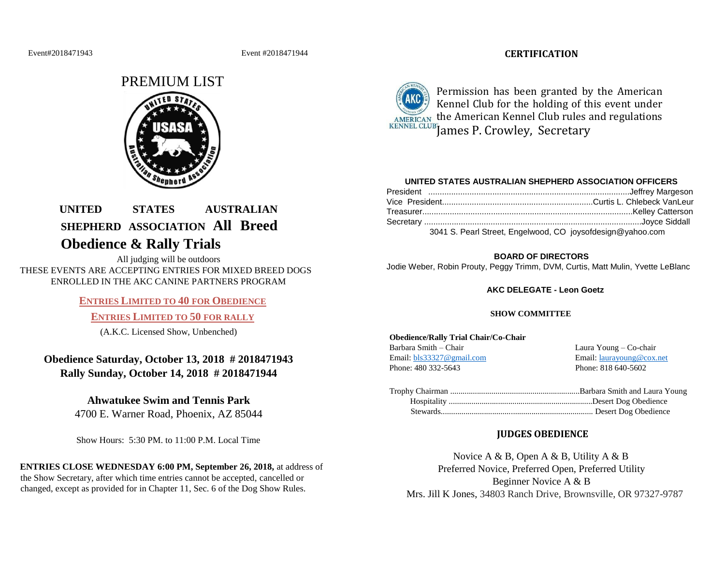#### Event#2018471943 Event #2018471944

# **CERTIFICATION**



# **UNITED STATES AUSTRALIAN SHEPHERD ASSOCIATION All Breed Obedience & Rally Trials**

All judging will be outdoors THESE EVENTS ARE ACCEPTING ENTRIES FOR MIXED BREED DOGS ENROLLED IN THE AKC CANINE PARTNERS PROGRAM

# **ENTRIES LIMITED TO 40 FOR OBEDIENCE**

# **ENTRIES LIMITED TO 50 FOR RALLY**

(A.K.C. Licensed Show, Unbenched)

# **Obedience Saturday, October 13, 2018 # 2018471943 Rally Sunday, October 14, 2018 # 2018471944**

# **Ahwatukee Swim and Tennis Park**

4700 E. Warner Road, Phoenix, AZ 85044

Show Hours: 5:30 PM. to 11:00 P.M. Local Time

# **ENTRIES CLOSE WEDNESDAY 6:00 PM, September 26, 2018,** at address of the Show Secretary, after which time entries cannot be accepted, cancelled or changed, except as provided for in Chapter 11, Sec. 6 of the Dog Show Rules.



Permission has been granted by the American Kennel Club for the holding of this event under AMERICAN the American Kennel Club rules and regulations KENNEL CLUB James P. Crowley, Secretary

## **UNITED STATES AUSTRALIAN SHEPHERD ASSOCIATION OFFICERS**

| 3041 S. Pearl Street, Engelwood, CO joysofdesign@yahoo.com |  |
|------------------------------------------------------------|--|

#### **BOARD OF DIRECTORS**

Jodie Weber, Robin Prouty, Peggy Trimm, DVM, Curtis, Matt Mulin, Yvette LeBlanc

## **AKC DELEGATE - Leon Goetz**

## **SHOW COMMITTEE**

#### **Obedience/Rally Trial Chair/Co-Chair**

Barbara Smith – Chair Laura Young – Co-chair Email: bls33327@gmail.com Email: laurayoung@cox.net Phone: 480 332-5643 Phone: 818 640-5602

# **JUDGES OBEDIENCE**

Novice A & B, Open A & B, Utility A & B Preferred Novice, Preferred Open, Preferred Utility Beginner Novice A & B Mrs. Jill K Jones, 34803 Ranch Drive, Brownsville, OR 97327-9787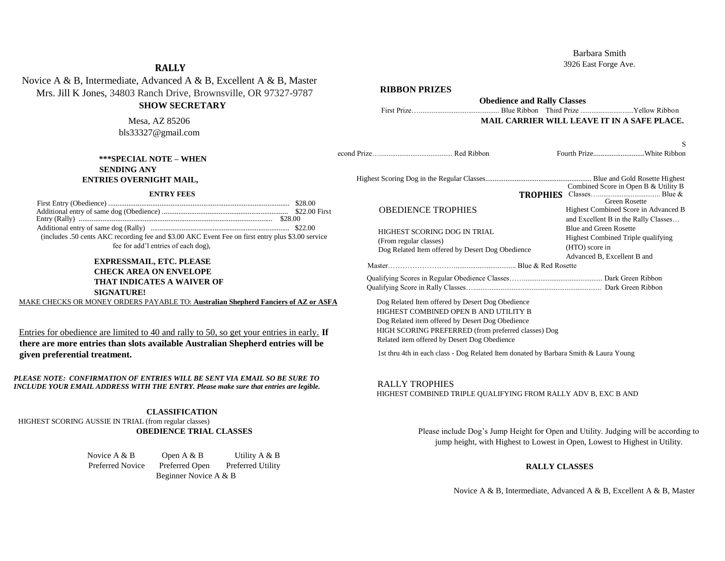# Barbara Smith

3926 East Forge Ave.

# **RALLY**

# Novice A & B, Intermediate, Advanced A & B, Excellent A & B, Master Mrs. Jill K Jones, 34803 Ranch Drive, Brownsville, OR 97327-9787

**RIBBON PRIZES** 

| MIS. JIII K JONES, 34805 Ranch Drive, Brownsville, OR 97327-9787<br><b>SHOW SECRETARY</b>                                                                          | <b>Obedience and Rally Classes</b><br>Blue Ribbon Third Prize Yellow Ribbon                                                                                                                                                                          |                                                                                                                                                                   |  |  |  |
|--------------------------------------------------------------------------------------------------------------------------------------------------------------------|------------------------------------------------------------------------------------------------------------------------------------------------------------------------------------------------------------------------------------------------------|-------------------------------------------------------------------------------------------------------------------------------------------------------------------|--|--|--|
| Mesa, AZ 85206<br>bls33327@gmail.com                                                                                                                               |                                                                                                                                                                                                                                                      | MAIL CARRIER WILL LEAVE IT IN A SAFE PLACE.                                                                                                                       |  |  |  |
| <b>***SPECIAL NOTE - WHEN</b><br><b>SENDING ANY</b>                                                                                                                |                                                                                                                                                                                                                                                      | Fourth PrizeWhite Ribbon                                                                                                                                          |  |  |  |
| ENTRIES OVERNIGHT MAIL,                                                                                                                                            |                                                                                                                                                                                                                                                      |                                                                                                                                                                   |  |  |  |
| <b>ENTRY FEES</b>                                                                                                                                                  |                                                                                                                                                                                                                                                      | Combined Score in Open B & Utility B<br><b>Green Rosette</b>                                                                                                      |  |  |  |
|                                                                                                                                                                    | <b>OBEDIENCE TROPHIES</b>                                                                                                                                                                                                                            | Highest Combined Score in Advanced B<br>and Excellent B in the Rally Classes                                                                                      |  |  |  |
| (includes .50 cents AKC recording fee and \$3.00 AKC Event Fee on first entry plus \$3.00 service<br>fee for add'l entries of each dog),                           | HIGHEST SCORING DOG IN TRIAL<br>(From regular classes)<br>Dog Related Item offered by Desert Dog Obedience                                                                                                                                           | <b>Blue and Green Rosette</b><br>Highest Combined Triple qualifying<br>(HTO) score in                                                                             |  |  |  |
| <b>EXPRESSMAIL, ETC. PLEASE</b>                                                                                                                                    |                                                                                                                                                                                                                                                      | Advanced B, Excellent B and                                                                                                                                       |  |  |  |
| <b>CHECK AREA ON ENVELOPE</b><br><b>THAT INDICATES A WAIVER OF</b><br><b>SIGNATURE!</b>                                                                            |                                                                                                                                                                                                                                                      |                                                                                                                                                                   |  |  |  |
| MAKE CHECKS OR MONEY ORDERS PAYABLE TO: Australian Shepherd Fanciers of AZ or ASFA                                                                                 | Dog Related Item offered by Desert Dog Obedience<br>HIGHEST COMBINED OPEN B AND UTILITY B<br>Dog Related item offered by Desert Dog Obedience<br>HIGH SCORING PREFERRED (from preferred classes) Dog<br>Related item offered by Desert Dog Obedience |                                                                                                                                                                   |  |  |  |
| Entries for obedience are limited to 40 and rally to 50, so get your entries in early. If                                                                          |                                                                                                                                                                                                                                                      |                                                                                                                                                                   |  |  |  |
| there are more entries than slots available Australian Shepherd entries will be<br>given preferential treatment.                                                   | 1st thru 4th in each class - Dog Related Item donated by Barbara Smith & Laura Young                                                                                                                                                                 |                                                                                                                                                                   |  |  |  |
| PLEASE NOTE: CONFIRMATION OF ENTRIES WILL BE SENT VIA EMAIL SO BE SURE TO<br>INCLUDE YOUR EMAIL ADDRESS WITH THE ENTRY. Please make sure that entries are legible. | <b>RALLY TROPHIES</b><br>HIGHEST COMBINED TRIPLE QUALIFYING FROM RALLY ADV B, EXC B AND                                                                                                                                                              |                                                                                                                                                                   |  |  |  |
| <b>CLASSIFICATION</b><br>HIGHEST SCORING AUSSIE IN TRIAL (from regular classes)<br><b>OBEDIENCE TRIAL CLASSES</b>                                                  |                                                                                                                                                                                                                                                      | Please include Dog's Jump Height for Open and Utility. Judging will be according to<br>jump height, with Highest to Lowest in Open, Lowest to Highest in Utility. |  |  |  |
| Novice $A \& B$<br>Open A & B<br>Utility A & B<br>Preferred Open<br>Preferred Utility<br>Preferred Novice<br>Beginner Novice A & B                                 |                                                                                                                                                                                                                                                      | <b>RALLY CLASSES</b>                                                                                                                                              |  |  |  |
|                                                                                                                                                                    |                                                                                                                                                                                                                                                      | Novice A & B, Intermediate, Advanced A & B, Excellent A & B, Master                                                                                               |  |  |  |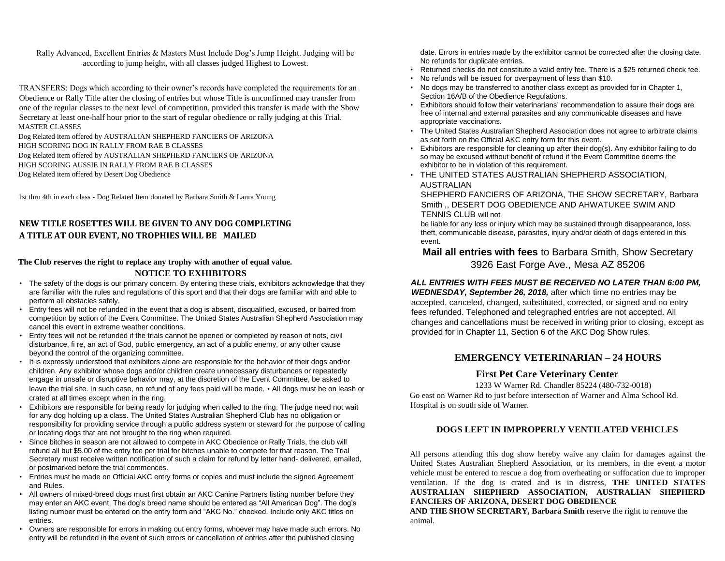Rally Advanced, Excellent Entries & Masters Must Include Dog's Jump Height. Judging will be according to jump height, with all classes judged Highest to Lowest.

TRANSFERS: Dogs which according to their owner's records have completed the requirements for an Obedience or Rally Title after the closing of entries but whose Title is unconfirmed may transfer from one of the regular classes to the next level of competition, provided this transfer is made with the Show Secretary at least one-half hour prior to the start of regular obedience or rally judging at this Trial. MASTER CLASSES

Dog Related item offered by AUSTRALIAN SHEPHERD FANCIERS OF ARIZONA HIGH SCORING DOG IN RALLY FROM RAE B CLASSES Dog Related item offered by AUSTRALIAN SHEPHERD FANCIERS OF ARIZONA HIGH SCORING AUSSIE IN RALLY FROM RAE B CLASSES Dog Related item offered by Desert Dog Obedience

1st thru 4th in each class - Dog Related Item donated by Barbara Smith & Laura Young

# **NEW TITLE ROSETTES WILL BE GIVEN TO ANY DOG COMPLETING A TITLE AT OUR EVENT, NO TROPHIES WILL BE MAILED**

#### **The Club reserves the right to replace any trophy with another of equal value. NOTICE TO EXHIBITORS**

- The safety of the dogs is our primary concern. By entering these trials, exhibitors acknowledge that they are familiar with the rules and regulations of this sport and that their dogs are familiar with and able to perform all obstacles safely.
- Entry fees will not be refunded in the event that a dog is absent, disqualified, excused, or barred from competition by action of the Event Committee. The United States Australian Shepherd Association may cancel this event in extreme weather conditions.
- Entry fees will not be refunded if the trials cannot be opened or completed by reason of riots, civil disturbance, fi re, an act of God, public emergency, an act of a public enemy, or any other cause beyond the control of the organizing committee.
- It is expressly understood that exhibitors alone are responsible for the behavior of their dogs and/or children. Any exhibitor whose dogs and/or children create unnecessary disturbances or repeatedly engage in unsafe or disruptive behavior may, at the discretion of the Event Committee, be asked to leave the trial site. In such case, no refund of any fees paid will be made. • All dogs must be on leash or crated at all times except when in the ring.
- Exhibitors are responsible for being ready for judging when called to the ring. The judge need not wait for any dog holding up a class. The United States Australian Shepherd Club has no obligation or responsibility for providing service through a public address system or steward for the purpose of calling or locating dogs that are not brought to the ring when required.
- Since bitches in season are not allowed to compete in AKC Obedience or Rally Trials, the club will refund all but \$5.00 of the entry fee per trial for bitches unable to compete for that reason. The Trial Secretary must receive written notification of such a claim for refund by letter hand- delivered, emailed, or postmarked before the trial commences.
- Entries must be made on Official AKC entry forms or copies and must include the signed Agreement and Rules.
- All owners of mixed-breed dogs must first obtain an AKC Canine Partners listing number before they may enter an AKC event. The dog's breed name should be entered as "All American Dog". The dog's listing number must be entered on the entry form and "AKC No." checked. Include only AKC titles on entries.
- Owners are responsible for errors in making out entry forms, whoever may have made such errors. No entry will be refunded in the event of such errors or cancellation of entries after the published closing

date. Errors in entries made by the exhibitor cannot be corrected after the closing date. No refunds for duplicate entries.

- Returned checks do not constitute a valid entry fee. There is a \$25 returned check fee.
- No refunds will be issued for overpayment of less than \$10.
- No dogs may be transferred to another class except as provided for in Chapter 1, Section 16A/B of the Obedience Regulations.
- Exhibitors should follow their veterinarians' recommendation to assure their dogs are free of internal and external parasites and any communicable diseases and have appropriate vaccinations.
- The United States Australian Shepherd Association does not agree to arbitrate claims as set forth on the Official AKC entry form for this event.
- Exhibitors are responsible for cleaning up after their dog(s). Any exhibitor failing to do so may be excused without benefit of refund if the Event Committee deems the exhibitor to be in violation of this requirement.
- THE UNITED STATES AUSTRALIAN SHEPHERD ASSOCIATION, AUSTRALIAN

SHEPHERD FANCIERS OF ARIZONA, THE SHOW SECRETARY, Barbara Smith ,, DESERT DOG OBEDIENCE AND AHWATUKEE SWIM AND TENNIS CLUB will not

be liable for any loss or injury which may be sustained through disappearance, loss, theft, communicable disease, parasites, injury and/or death of dogs entered in this event.

# **Mail all entries with fees** to Barbara Smith, Show Secretary 3926 East Forge Ave., Mesa AZ 85206

# *ALL ENTRIES WITH FEES MUST BE RECEIVED NO LATER THAN 6:00 PM,*

*WEDNESDAY, September 26, 2018,* after which time no entries may be accepted, canceled, changed, substituted, corrected, or signed and no entry fees refunded. Telephoned and telegraphed entries are not accepted. All changes and cancellations must be received in writing prior to closing, except as provided for in Chapter 11, Section 6 of the AKC Dog Show rules.

# **EMERGENCY VETERINARIAN – 24 HOURS**

# **First Pet Care Veterinary Center**

1233 W Warner Rd. Chandler 85224 (480-732-0018) Go east on Warner Rd to just before intersection of Warner and Alma School Rd. Hospital is on south side of Warner.

# **DOGS LEFT IN IMPROPERLY VENTILATED VEHICLES**

All persons attending this dog show hereby waive any claim for damages against the United States Australian Shepherd Association, or its members, in the event a motor vehicle must be entered to rescue a dog from overheating or suffocation due to improper ventilation. If the dog is crated and is in distress, **THE UNITED STATES AUSTRALIAN SHEPHERD ASSOCIATION, AUSTRALIAN SHEPHERD FANCIERS OF ARIZONA, DESERT DOG OBEDIENCE** 

**AND THE SHOW SECRETARY, Barbara Smith** reserve the right to remove the animal.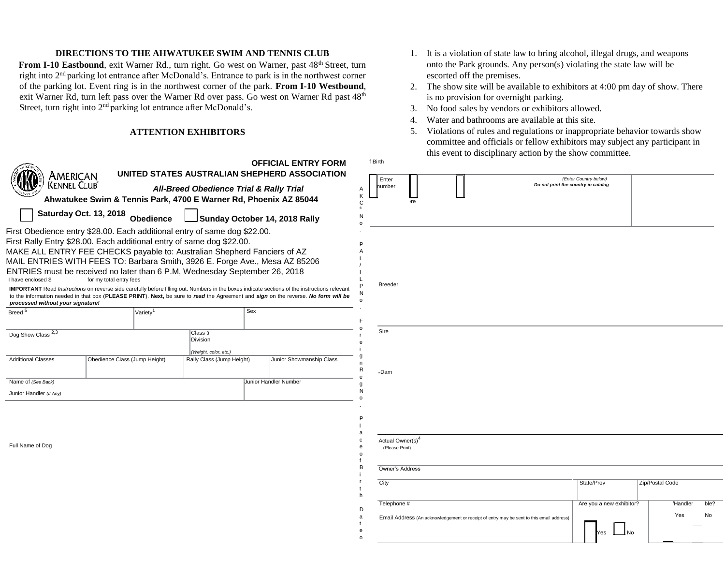#### **DIRECTIONS TO THE AHWATUKEE SWIM AND TENNIS CLUB**

From I-10 Eastbound, exit Warner Rd., turn right. Go west on Warner, past 48<sup>th</sup> Street, turn right into 2nd parking lot entrance after McDonald's. Entrance to park is in the northwest corner of the parking lot. Event ring is in the northwest corner of the park. **From I-10 Westbound**, exit Warner Rd, turn left pass over the Warner Rd over pass. Go west on Warner Rd past 48<sup>th</sup> Street, turn right into 2nd parking lot entrance after McDonald's.

#### **ATTENTION EXHIBITORS**

| American                                                                                                                                                                                                                                                                                                                                                                                                                                     |                                  |                      |                                                                  |     | <b>OFFICIAL ENTRY FORM</b><br>UNITED STATES AUSTRALIAN SHEPHERD ASSOCIATION                                                                                                                                                                                                                |
|----------------------------------------------------------------------------------------------------------------------------------------------------------------------------------------------------------------------------------------------------------------------------------------------------------------------------------------------------------------------------------------------------------------------------------------------|----------------------------------|----------------------|------------------------------------------------------------------|-----|--------------------------------------------------------------------------------------------------------------------------------------------------------------------------------------------------------------------------------------------------------------------------------------------|
| Kennel Club®                                                                                                                                                                                                                                                                                                                                                                                                                                 |                                  |                      | <b>All-Breed Obedience Trial &amp; Rally Trial</b>               |     |                                                                                                                                                                                                                                                                                            |
|                                                                                                                                                                                                                                                                                                                                                                                                                                              |                                  |                      | Ahwatukee Swim & Tennis Park, 4700 E Warner Rd, Phoenix AZ 85044 |     |                                                                                                                                                                                                                                                                                            |
|                                                                                                                                                                                                                                                                                                                                                                                                                                              | Saturday Oct. 13, 2018 Obedience |                      |                                                                  |     | Sunday October 14, 2018 Rally                                                                                                                                                                                                                                                              |
| First Obedience entry \$28.00. Each additional entry of same dog \$22.00.<br>First Rally Entry \$28.00. Each additional entry of same dog \$22.00.<br>MAKE ALL ENTRY FEE CHECKS payable to: Australian Shepherd Fanciers of AZ<br>MAIL ENTRIES WITH FEES TO: Barbara Smith, 3926 E. Forge Ave., Mesa AZ 85206<br>ENTRIES must be received no later than 6 P.M, Wednesday September 26, 2018<br>I have enclosed \$<br>for my total entry fees |                                  |                      |                                                                  |     |                                                                                                                                                                                                                                                                                            |
| processed without your signature!                                                                                                                                                                                                                                                                                                                                                                                                            |                                  |                      |                                                                  |     | <b>IMPORTANT</b> Read Instructions on reverse side carefully before filling out. Numbers in the boxes indicate sections of the instructions relevant<br>to the information needed in that box (PLEASE PRINT). Next, be sure to read the Agreement and sign on the reverse. No form will be |
| Breed <sup>5</sup>                                                                                                                                                                                                                                                                                                                                                                                                                           |                                  | Variety <sup>1</sup> |                                                                  | Sex |                                                                                                                                                                                                                                                                                            |
| Dog Show Class 2,3                                                                                                                                                                                                                                                                                                                                                                                                                           |                                  |                      | Class <sub>3</sub><br>Division<br>(Weight, color, etc.)          |     |                                                                                                                                                                                                                                                                                            |
| <b>Additional Classes</b>                                                                                                                                                                                                                                                                                                                                                                                                                    | Obedience Class (Jump Height)    |                      | Rally Class (Jump Height)                                        |     | Junior Showmanship Class                                                                                                                                                                                                                                                                   |
| Name of (See Back)                                                                                                                                                                                                                                                                                                                                                                                                                           |                                  |                      |                                                                  |     | Junior Handler Number                                                                                                                                                                                                                                                                      |
| Junior Handler (If Any)                                                                                                                                                                                                                                                                                                                                                                                                                      |                                  |                      |                                                                  |     |                                                                                                                                                                                                                                                                                            |
|                                                                                                                                                                                                                                                                                                                                                                                                                                              |                                  |                      |                                                                  |     |                                                                                                                                                                                                                                                                                            |

Full Name of Dog

- 1. It is a violation of state law to bring alcohol, illegal drugs, and weapons onto the Park grounds. Any person(s) violating the state law will be escorted off the premises.
- 2. The show site will be available to exhibitors at 4:00 pm day of show. There is no provision for overnight parking.
- 3. No food sales by vendors or exhibitors allowed.
- 4. Water and bathrooms are available at this site.

A K C ® N o . P A L / I L P N o . F o r e i g n R e g N o . P l a c e o f B i r t h D a t e o

f Birth

5. Violations of rules and regulations or inappropriate behavior towards show committee and officials or fellow exhibitors may subject any participant in this event to disciplinary action by the show committee.

Breeder Sire Dam Actual Owner(s)<sup>4</sup> (Please Print) Owner's Address **City** State/Prov Zip/Postal Code Telephone # Email Address (An acknowledgement or receipt of entry may be sent to this email address) Are you a new exhibitor? Handler Yes ible? No N<sub>o</sub> Enter umber *(Enter Country below) Do not print the country in catalog*  here